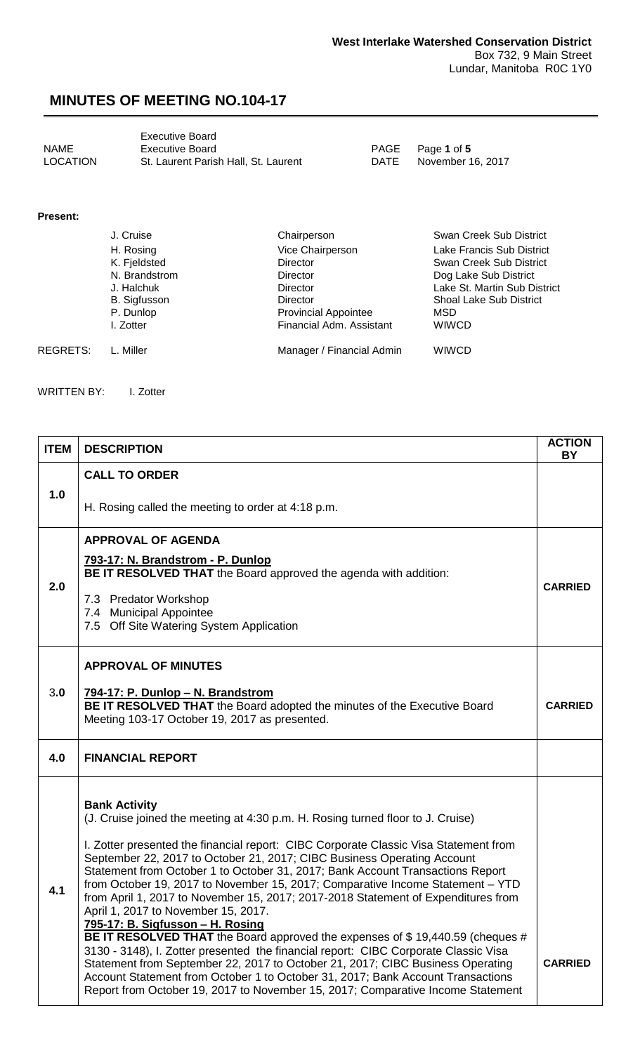<span id="page-0-0"></span>

|          | <b>Executive Board</b>               |
|----------|--------------------------------------|
| NAME     | <b>Executive Board</b>               |
| LOCATION | St. Laurent Parish Hall. St. Laurent |

PAGE Page 1 of 5<br>DATE November 1

November 16, 2017

#### **Present:**

|          | J. Cruise           | Chairperson                 | Swan Creek Sub District        |
|----------|---------------------|-----------------------------|--------------------------------|
|          | H. Rosing           | Vice Chairperson            | Lake Francis Sub District      |
|          | K. Fjeldsted        | <b>Director</b>             | Swan Creek Sub District        |
|          | N. Brandstrom       | <b>Director</b>             | Dog Lake Sub District          |
|          | J. Halchuk          | <b>Director</b>             | Lake St. Martin Sub District   |
|          | <b>B.</b> Sigfusson | <b>Director</b>             | <b>Shoal Lake Sub District</b> |
|          | P. Dunlop           | <b>Provincial Appointee</b> | MSD.                           |
|          | I. Zotter           | Financial Adm. Assistant    | <b>WIWCD</b>                   |
| REGRETS: | L. Miller           | Manager / Financial Admin   | WIWCD                          |

WRITTEN BY: I. Zotter

| <b>ITEM</b> | <b>DESCRIPTION</b>                                                                                                                                                                                                                                                                                                                                                                                                                                                                                                                                                                                                                                                                                                                                                                                                                                                                                                                                                                                                                             | <b>ACTION</b><br>ΒY |
|-------------|------------------------------------------------------------------------------------------------------------------------------------------------------------------------------------------------------------------------------------------------------------------------------------------------------------------------------------------------------------------------------------------------------------------------------------------------------------------------------------------------------------------------------------------------------------------------------------------------------------------------------------------------------------------------------------------------------------------------------------------------------------------------------------------------------------------------------------------------------------------------------------------------------------------------------------------------------------------------------------------------------------------------------------------------|---------------------|
| 1.0         | <b>CALL TO ORDER</b><br>H. Rosing called the meeting to order at 4:18 p.m.                                                                                                                                                                                                                                                                                                                                                                                                                                                                                                                                                                                                                                                                                                                                                                                                                                                                                                                                                                     |                     |
| 2.0         | <b>APPROVAL OF AGENDA</b><br>793-17: N. Brandstrom - P. Dunlop<br>BE IT RESOLVED THAT the Board approved the agenda with addition:                                                                                                                                                                                                                                                                                                                                                                                                                                                                                                                                                                                                                                                                                                                                                                                                                                                                                                             |                     |
|             | 7.3 Predator Workshop<br>7.4 Municipal Appointee<br>7.5 Off Site Watering System Application                                                                                                                                                                                                                                                                                                                                                                                                                                                                                                                                                                                                                                                                                                                                                                                                                                                                                                                                                   | <b>CARRIED</b>      |
| 3.0         | <b>APPROVAL OF MINUTES</b><br>794-17: P. Dunlop - N. Brandstrom<br>BE IT RESOLVED THAT the Board adopted the minutes of the Executive Board<br>Meeting 103-17 October 19, 2017 as presented.                                                                                                                                                                                                                                                                                                                                                                                                                                                                                                                                                                                                                                                                                                                                                                                                                                                   | <b>CARRIED</b>      |
| 4.0         | <b>FINANCIAL REPORT</b>                                                                                                                                                                                                                                                                                                                                                                                                                                                                                                                                                                                                                                                                                                                                                                                                                                                                                                                                                                                                                        |                     |
| 4.1         | <b>Bank Activity</b><br>(J. Cruise joined the meeting at 4:30 p.m. H. Rosing turned floor to J. Cruise)<br>I. Zotter presented the financial report: CIBC Corporate Classic Visa Statement from<br>September 22, 2017 to October 21, 2017; CIBC Business Operating Account<br>Statement from October 1 to October 31, 2017; Bank Account Transactions Report<br>from October 19, 2017 to November 15, 2017; Comparative Income Statement - YTD<br>from April 1, 2017 to November 15, 2017; 2017-2018 Statement of Expenditures from<br>April 1, 2017 to November 15, 2017.<br>795-17: B. Sigfusson - H. Rosing<br>BE IT RESOLVED THAT the Board approved the expenses of \$19,440.59 (cheques #<br>3130 - 3148), I. Zotter presented the financial report: CIBC Corporate Classic Visa<br>Statement from September 22, 2017 to October 21, 2017; CIBC Business Operating<br>Account Statement from October 1 to October 31, 2017; Bank Account Transactions<br>Report from October 19, 2017 to November 15, 2017; Comparative Income Statement | <b>CARRIED</b>      |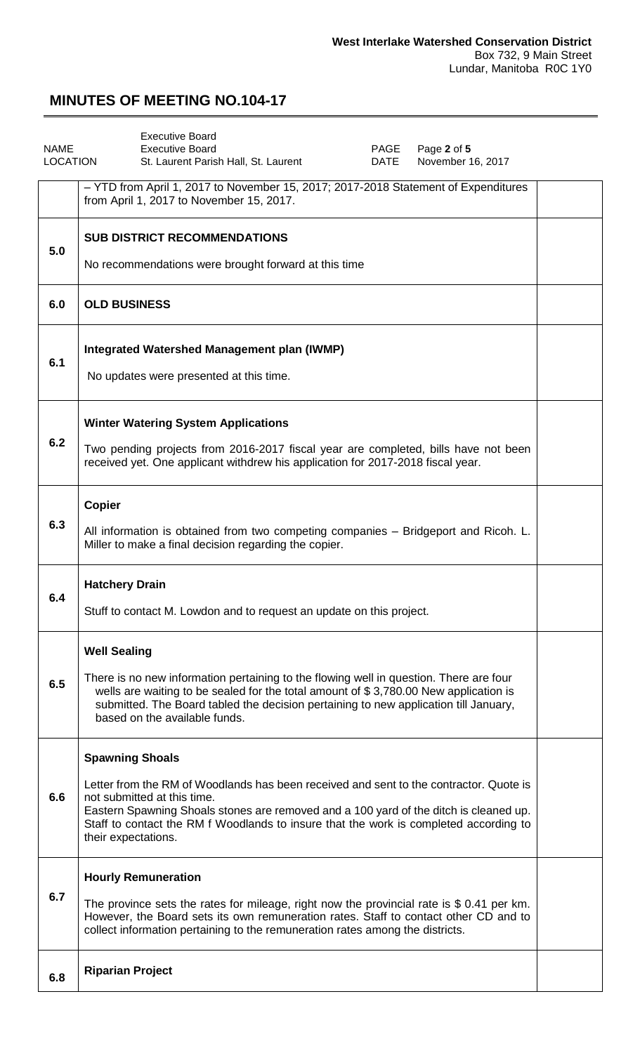<span id="page-1-0"></span>

| <b>NAME</b>     | <b>Executive Board</b><br><b>Executive Board</b><br>Page 2 of 5<br>PAGE                                                                                                                                                                                                                                                        |  |
|-----------------|--------------------------------------------------------------------------------------------------------------------------------------------------------------------------------------------------------------------------------------------------------------------------------------------------------------------------------|--|
| <b>LOCATION</b> | <b>DATE</b><br>November 16, 2017<br>St. Laurent Parish Hall, St. Laurent                                                                                                                                                                                                                                                       |  |
|                 | - YTD from April 1, 2017 to November 15, 2017; 2017-2018 Statement of Expenditures<br>from April 1, 2017 to November 15, 2017.                                                                                                                                                                                                 |  |
| 5.0             | <b>SUB DISTRICT RECOMMENDATIONS</b><br>No recommendations were brought forward at this time                                                                                                                                                                                                                                    |  |
| 6.0             | <b>OLD BUSINESS</b>                                                                                                                                                                                                                                                                                                            |  |
|                 |                                                                                                                                                                                                                                                                                                                                |  |
| 6.1             | Integrated Watershed Management plan (IWMP)<br>No updates were presented at this time.                                                                                                                                                                                                                                         |  |
|                 | <b>Winter Watering System Applications</b>                                                                                                                                                                                                                                                                                     |  |
| 6.2             | Two pending projects from 2016-2017 fiscal year are completed, bills have not been<br>received yet. One applicant withdrew his application for 2017-2018 fiscal year.                                                                                                                                                          |  |
|                 | <b>Copier</b>                                                                                                                                                                                                                                                                                                                  |  |
| 6.3             | All information is obtained from two competing companies - Bridgeport and Ricoh. L.<br>Miller to make a final decision regarding the copier.                                                                                                                                                                                   |  |
|                 | <b>Hatchery Drain</b>                                                                                                                                                                                                                                                                                                          |  |
| 6.4             | Stuff to contact M. Lowdon and to request an update on this project.                                                                                                                                                                                                                                                           |  |
|                 | <b>Well Sealing</b>                                                                                                                                                                                                                                                                                                            |  |
| 6.5             | There is no new information pertaining to the flowing well in question. There are four<br>wells are waiting to be sealed for the total amount of \$3,780.00 New application is<br>submitted. The Board tabled the decision pertaining to new application till January,<br>based on the available funds.                        |  |
|                 | <b>Spawning Shoals</b>                                                                                                                                                                                                                                                                                                         |  |
| 6.6             | Letter from the RM of Woodlands has been received and sent to the contractor. Quote is<br>not submitted at this time.<br>Eastern Spawning Shoals stones are removed and a 100 yard of the ditch is cleaned up.<br>Staff to contact the RM f Woodlands to insure that the work is completed according to<br>their expectations. |  |
| 6.7             | <b>Hourly Remuneration</b>                                                                                                                                                                                                                                                                                                     |  |
|                 | The province sets the rates for mileage, right now the provincial rate is \$ 0.41 per km.<br>However, the Board sets its own remuneration rates. Staff to contact other CD and to<br>collect information pertaining to the remuneration rates among the districts.                                                             |  |
| 6.8             | <b>Riparian Project</b>                                                                                                                                                                                                                                                                                                        |  |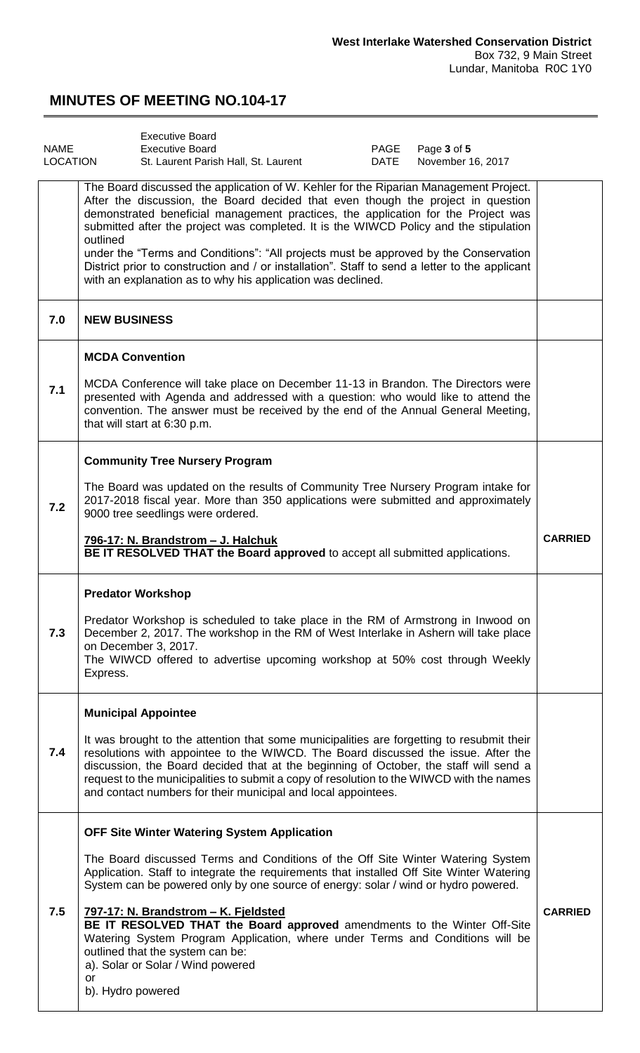<span id="page-2-0"></span>

| <b>NAME</b><br>LOCATION | <b>Executive Board</b><br>PAGE<br><b>Executive Board</b><br>Page 3 of 5<br>St. Laurent Parish Hall, St. Laurent<br>DATE<br>November 16, 2017                                                                                                                                                                                                                                                                                                                                                                                                                                                                                     |                |
|-------------------------|----------------------------------------------------------------------------------------------------------------------------------------------------------------------------------------------------------------------------------------------------------------------------------------------------------------------------------------------------------------------------------------------------------------------------------------------------------------------------------------------------------------------------------------------------------------------------------------------------------------------------------|----------------|
|                         | The Board discussed the application of W. Kehler for the Riparian Management Project.<br>After the discussion, the Board decided that even though the project in question<br>demonstrated beneficial management practices, the application for the Project was<br>submitted after the project was completed. It is the WIWCD Policy and the stipulation<br>outlined<br>under the "Terms and Conditions": "All projects must be approved by the Conservation<br>District prior to construction and / or installation". Staff to send a letter to the applicant<br>with an explanation as to why his application was declined.     |                |
| 7.0                     | <b>NEW BUSINESS</b>                                                                                                                                                                                                                                                                                                                                                                                                                                                                                                                                                                                                              |                |
| 7.1                     | <b>MCDA Convention</b><br>MCDA Conference will take place on December 11-13 in Brandon. The Directors were<br>presented with Agenda and addressed with a question: who would like to attend the<br>convention. The answer must be received by the end of the Annual General Meeting,<br>that will start at 6:30 p.m.                                                                                                                                                                                                                                                                                                             |                |
| 7.2                     | <b>Community Tree Nursery Program</b><br>The Board was updated on the results of Community Tree Nursery Program intake for<br>2017-2018 fiscal year. More than 350 applications were submitted and approximately<br>9000 tree seedlings were ordered.<br>796-17: N. Brandstrom - J. Halchuk<br>BE IT RESOLVED THAT the Board approved to accept all submitted applications.                                                                                                                                                                                                                                                      | <b>CARRIED</b> |
| 7.3                     | <b>Predator Workshop</b><br>Predator Workshop is scheduled to take place in the RM of Armstrong in Inwood on<br>December 2, 2017. The workshop in the RM of West Interlake in Ashern will take place<br>on December 3, 2017.<br>The WIWCD offered to advertise upcoming workshop at 50% cost through Weekly<br>Express.                                                                                                                                                                                                                                                                                                          |                |
| 7.4                     | <b>Municipal Appointee</b><br>It was brought to the attention that some municipalities are forgetting to resubmit their<br>resolutions with appointee to the WIWCD. The Board discussed the issue. After the<br>discussion, the Board decided that at the beginning of October, the staff will send a<br>request to the municipalities to submit a copy of resolution to the WIWCD with the names<br>and contact numbers for their municipal and local appointees.                                                                                                                                                               |                |
| 7.5                     | <b>OFF Site Winter Watering System Application</b><br>The Board discussed Terms and Conditions of the Off Site Winter Watering System<br>Application. Staff to integrate the requirements that installed Off Site Winter Watering<br>System can be powered only by one source of energy: solar / wind or hydro powered.<br>797-17: N. Brandstrom - K. Fjeldsted<br>BE IT RESOLVED THAT the Board approved amendments to the Winter Off-Site<br>Watering System Program Application, where under Terms and Conditions will be<br>outlined that the system can be:<br>a). Solar or Solar / Wind powered<br>or<br>b). Hydro powered | <b>CARRIED</b> |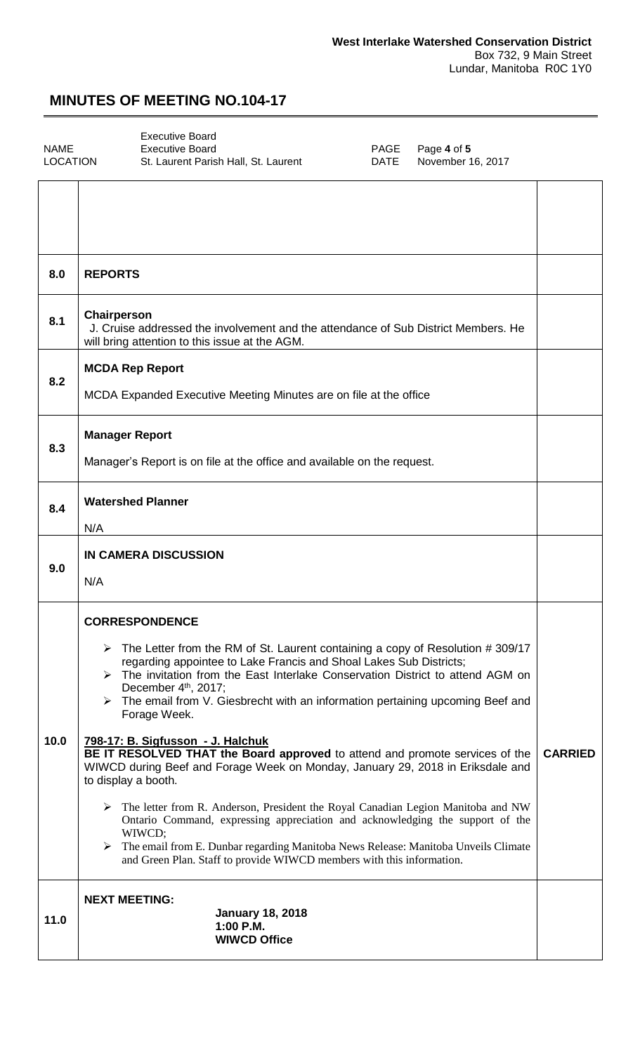<span id="page-3-0"></span>

[Executive Board](#page-3-0)  NAME Executive Board<br>
LOCATION St. Laurent Parish Hall, St. Laurent **PAGE Page 4 of 5**<br>
DATE November 16, 2017 St. Laurent Parish Hall, St. Laurent November 16, 2017

| 8.0  | <b>REPORTS</b>                                                                                                                                                                                                                                                                                                                                                                                                                                                                                                                                                                                                                                                                                                                                                                                                                                                                                                                                                                                                              |                |
|------|-----------------------------------------------------------------------------------------------------------------------------------------------------------------------------------------------------------------------------------------------------------------------------------------------------------------------------------------------------------------------------------------------------------------------------------------------------------------------------------------------------------------------------------------------------------------------------------------------------------------------------------------------------------------------------------------------------------------------------------------------------------------------------------------------------------------------------------------------------------------------------------------------------------------------------------------------------------------------------------------------------------------------------|----------------|
| 8.1  | Chairperson<br>J. Cruise addressed the involvement and the attendance of Sub District Members. He<br>will bring attention to this issue at the AGM.                                                                                                                                                                                                                                                                                                                                                                                                                                                                                                                                                                                                                                                                                                                                                                                                                                                                         |                |
| 8.2  | <b>MCDA Rep Report</b><br>MCDA Expanded Executive Meeting Minutes are on file at the office                                                                                                                                                                                                                                                                                                                                                                                                                                                                                                                                                                                                                                                                                                                                                                                                                                                                                                                                 |                |
| 8.3  | <b>Manager Report</b><br>Manager's Report is on file at the office and available on the request.                                                                                                                                                                                                                                                                                                                                                                                                                                                                                                                                                                                                                                                                                                                                                                                                                                                                                                                            |                |
| 8.4  | <b>Watershed Planner</b><br>N/A                                                                                                                                                                                                                                                                                                                                                                                                                                                                                                                                                                                                                                                                                                                                                                                                                                                                                                                                                                                             |                |
| 9.0  | IN CAMERA DISCUSSION<br>N/A                                                                                                                                                                                                                                                                                                                                                                                                                                                                                                                                                                                                                                                                                                                                                                                                                                                                                                                                                                                                 |                |
| 10.0 | <b>CORRESPONDENCE</b><br>$\triangleright$ The Letter from the RM of St. Laurent containing a copy of Resolution #309/17<br>regarding appointee to Lake Francis and Shoal Lakes Sub Districts;<br>> The invitation from the East Interlake Conservation District to attend AGM on<br>December 4th, 2017;<br>$\triangleright$ The email from V. Giesbrecht with an information pertaining upcoming Beef and<br>Forage Week.<br>798-17: B. Sigfusson - J. Halchuk<br>BE IT RESOLVED THAT the Board approved to attend and promote services of the<br>WIWCD during Beef and Forage Week on Monday, January 29, 2018 in Eriksdale and<br>to display a booth.<br>$\triangleright$ The letter from R. Anderson, President the Royal Canadian Legion Manitoba and NW<br>Ontario Command, expressing appreciation and acknowledging the support of the<br>WIWCD;<br>The email from E. Dunbar regarding Manitoba News Release: Manitoba Unveils Climate<br>➤<br>and Green Plan. Staff to provide WIWCD members with this information. | <b>CARRIED</b> |
| 11.0 | <b>NEXT MEETING:</b><br><b>January 18, 2018</b><br>1:00 P.M.<br><b>WIWCD Office</b>                                                                                                                                                                                                                                                                                                                                                                                                                                                                                                                                                                                                                                                                                                                                                                                                                                                                                                                                         |                |